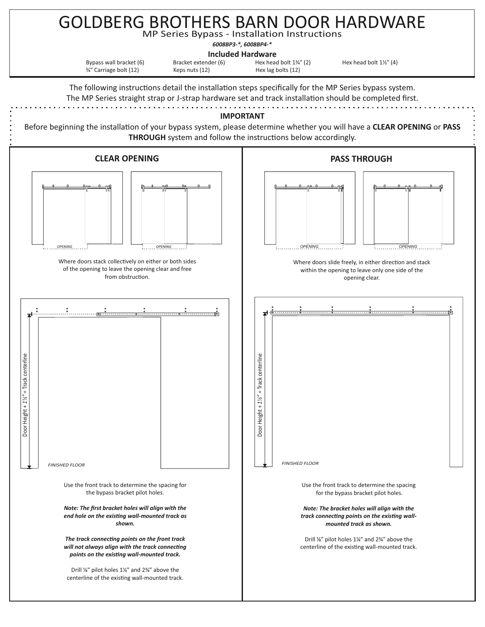